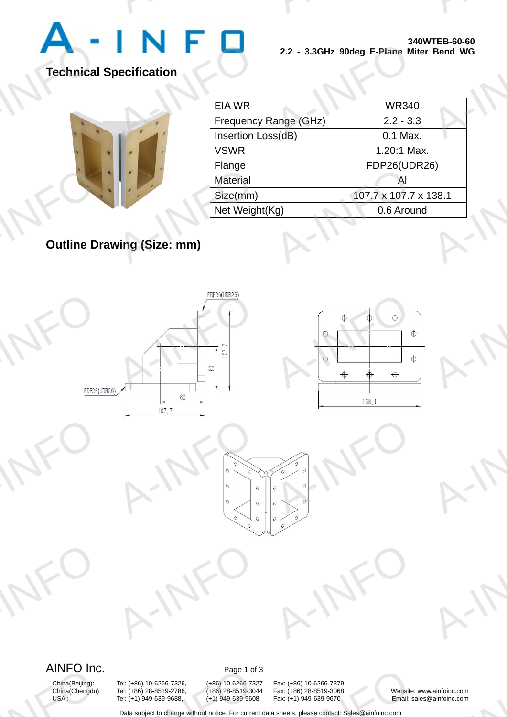

A-INFORMATION CONTINUES.

A-INFO

# **Technical Specification**

|                                   | <b>CIA WK</b>    |
|-----------------------------------|------------------|
|                                   | Frequenc         |
|                                   | Insertion I      |
|                                   | <b>VSWR</b>      |
|                                   | Flange           |
|                                   | <b>Material</b>  |
|                                   | Size(mm)         |
|                                   | <b>Net Weigh</b> |
|                                   |                  |
| <b>Outline Drawing (Size: mm)</b> |                  |
|                                   |                  |

|                       | 2.2 - 3.3GHz 90deg E-Plane Miter Bend WG |                       |                     |             | 340WICD-00-00 |  |  |
|-----------------------|------------------------------------------|-----------------------|---------------------|-------------|---------------|--|--|
|                       |                                          |                       |                     |             |               |  |  |
| <b>EIA WR</b>         |                                          | <b>WR340</b>          |                     |             |               |  |  |
| Frequency Range (GHz) |                                          | $2.2 - 3.3$           |                     |             |               |  |  |
| Insertion Loss(dB)    |                                          |                       | 0.1 Max.            |             |               |  |  |
| <b>VSWR</b>           |                                          |                       |                     | 1.20:1 Max. |               |  |  |
| Flange                |                                          |                       | <b>FDP26(UDR26)</b> |             |               |  |  |
| <b>Material</b>       |                                          |                       |                     | Al          |               |  |  |
| Size(mm)              |                                          | 107.7 x 107.7 x 138.1 |                     |             |               |  |  |
| Net Weight(Kg)        |                                          |                       | 0.6 Around          |             |               |  |  |
|                       |                                          |                       |                     |             |               |  |  |

A-INFORMATION CONTINUES.

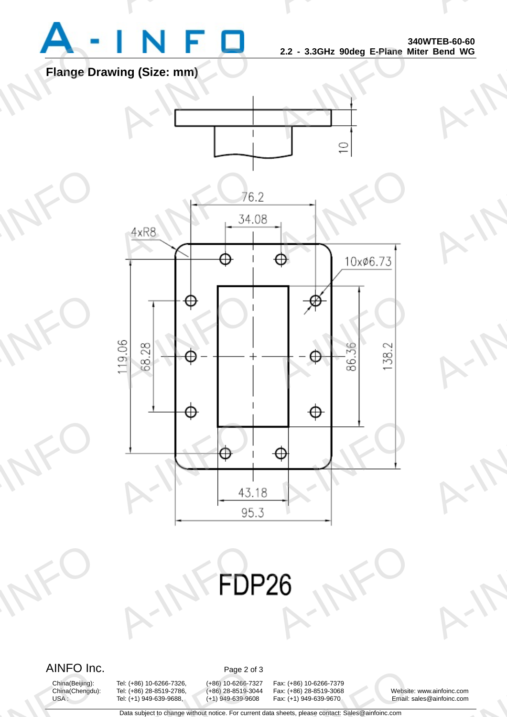

A-INFORMATION CONTINUES.

A-INFO

A-INFORMATION CONTINUES.

## **Flange Drawing (Size: mm)**



# AIFPOR A-INFO

AINFO Inc. Page 2 of 3

AIINFU INC<br>China(Beijing):<br>China(Chengdu):<br>USA:

China(Beijing): Tel: (+86) 10-6266-7326, (+86) 10-6266-7327 Fax: (+86) 10-6266-7379 China(Chengdu): Tel: (+86) 28-8519-2786, (+86) 28-8519-3044 Fax: (+86) 28-8519-3068 Website: www.ainfoinc.com Page 2 of<br>
Tel: (+86) 10-6266-7326, (+86) 10-6266-732<br>
Tel: (+86) 28-8519-2786, (+86) 28-8519-304<br>
Tel: (+1) 949-639-9688, (+1) 949-639-9608<br>
Data subject to change without notice. For currency

Fax: (+86) 10-6266-7379<br>
Fax: (+86) 28-8519-3068<br>
Fax: (+1) 949-639-9670<br>
a sheets, please contact: Sales@ainfoinc.com

Email: sales@ainfoinc.com v.ainfoinc.com<br>Dainfoinc.com

Data subject to change without notice. For current data sheets, please contact: Sales@ainfoinc.com